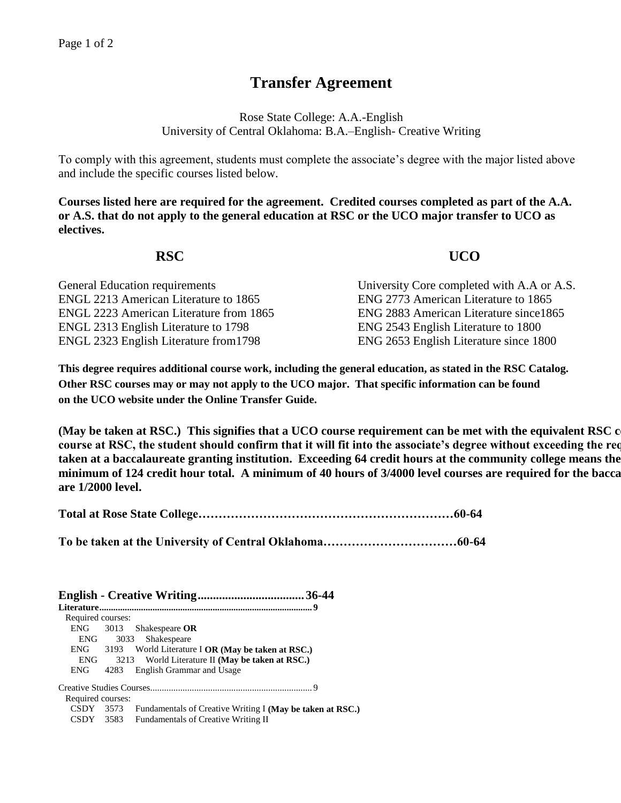# **Transfer Agreement**

Rose State College: A.A.-English University of Central Oklahoma: B.A.–English- Creative Writing

To comply with this agreement, students must complete the associate's degree with the major listed above and include the specific courses listed below.

**Courses listed here are required for the agreement. Credited courses completed as part of the A.A. or A.S. that do not apply to the general education at RSC or the UCO major transfer to UCO as electives.**

## **RSC UCO** General Education requirements University Core completed with A.A or A.S. ENGL 2213 American Literature to 1865 ENG 2773 American Literature to 1865 ENGL 2223 American Literature from 1865 ENG 2883 American Literature since1865 ENGL 2313 English Literature to 1798 ENG 2543 English Literature to 1800 ENGL 2323 English Literature from1798 ENG 2653 English Literature since 1800

**This degree requires additional course work, including the general education, as stated in the RSC Catalog. Other RSC courses may or may not apply to the UCO major. That specific information can be found on the UCO website under the Online Transfer Guide.**

(May be taken at RSC.) This signifies that a UCO course requirement can be met with the equivalent RSC c course at RSC, the student should confirm that it will fit into the associate's degree without exceeding the req taken at a baccalaureate granting institution. Exceeding 64 credit hours at the community college means the minimum of 124 credit hour total. A minimum of 40 hours of 3/4000 level courses are required for the bacca **are 1/2000 level.**

**English - Creative Writing................................... 36-44 Literature............................................................................................ 9** Required courses: ENG 3013 Shakespeare **OR** ENG 3033 Shakespeare ENG 3193 World Literature I **OR (May be taken at RSC.)** ENG 3213 World Literature II **(May be taken at RSC.)** ENG 4283 English Grammar and Usage Creative Studies Courses...................................................................... 9 Required courses: CSDY 3573 Fundamentals of Creative Writing I **(May be taken at RSC.)** CSDY 3583 Fundamentals of Creative Writing II